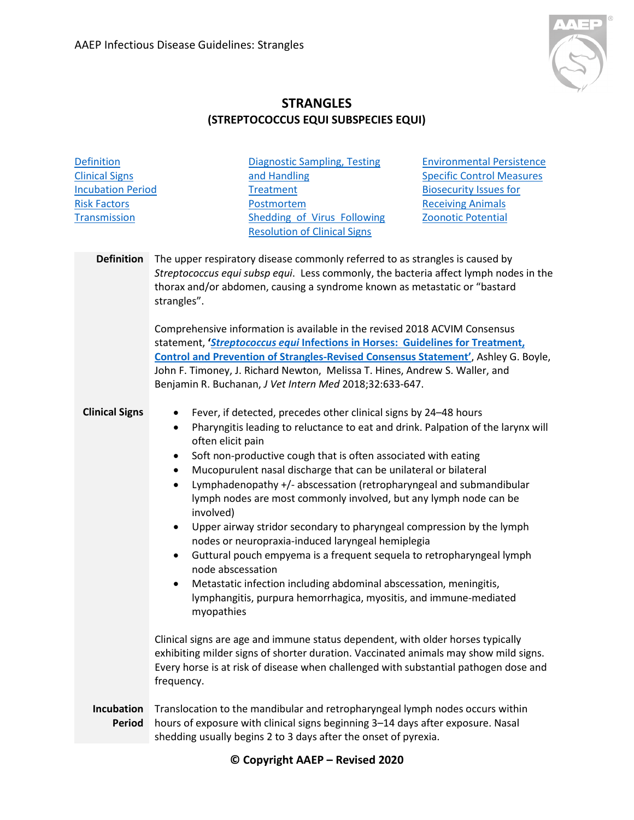

## **STRANGLES (STREPTOCOCCUS EQUI SUBSPECIES EQUI)**

<span id="page-0-2"></span><span id="page-0-1"></span><span id="page-0-0"></span>

| <b>Definition</b>                          |                                                                                                                                                                                                        | <b>Diagnostic Sampling, Testing</b>                                                                                                                                                                                                                                                                                                                                                                                                                                                                                                                                                                                                                                                                                                                                                                                                                              | <b>Environmental Persistence</b>                                                                                                                                                                                                                                                                                                                                                                                                                                                                                                                                                                                                                                                                                                                                                                                                                     |
|--------------------------------------------|--------------------------------------------------------------------------------------------------------------------------------------------------------------------------------------------------------|------------------------------------------------------------------------------------------------------------------------------------------------------------------------------------------------------------------------------------------------------------------------------------------------------------------------------------------------------------------------------------------------------------------------------------------------------------------------------------------------------------------------------------------------------------------------------------------------------------------------------------------------------------------------------------------------------------------------------------------------------------------------------------------------------------------------------------------------------------------|------------------------------------------------------------------------------------------------------------------------------------------------------------------------------------------------------------------------------------------------------------------------------------------------------------------------------------------------------------------------------------------------------------------------------------------------------------------------------------------------------------------------------------------------------------------------------------------------------------------------------------------------------------------------------------------------------------------------------------------------------------------------------------------------------------------------------------------------------|
| <b>Clinical Signs</b>                      |                                                                                                                                                                                                        | and Handling                                                                                                                                                                                                                                                                                                                                                                                                                                                                                                                                                                                                                                                                                                                                                                                                                                                     | <b>Specific Control Measures</b>                                                                                                                                                                                                                                                                                                                                                                                                                                                                                                                                                                                                                                                                                                                                                                                                                     |
| <b>Incubation Period</b>                   |                                                                                                                                                                                                        | Treatment                                                                                                                                                                                                                                                                                                                                                                                                                                                                                                                                                                                                                                                                                                                                                                                                                                                        | <b>Biosecurity Issues for</b>                                                                                                                                                                                                                                                                                                                                                                                                                                                                                                                                                                                                                                                                                                                                                                                                                        |
| <b>Risk Factors</b>                        |                                                                                                                                                                                                        | Postmortem                                                                                                                                                                                                                                                                                                                                                                                                                                                                                                                                                                                                                                                                                                                                                                                                                                                       | <b>Receiving Animals</b>                                                                                                                                                                                                                                                                                                                                                                                                                                                                                                                                                                                                                                                                                                                                                                                                                             |
| <b>Transmission</b>                        |                                                                                                                                                                                                        | Shedding of Virus Following                                                                                                                                                                                                                                                                                                                                                                                                                                                                                                                                                                                                                                                                                                                                                                                                                                      | <b>Zoonotic Potential</b>                                                                                                                                                                                                                                                                                                                                                                                                                                                                                                                                                                                                                                                                                                                                                                                                                            |
|                                            |                                                                                                                                                                                                        | <b>Resolution of Clinical Signs</b>                                                                                                                                                                                                                                                                                                                                                                                                                                                                                                                                                                                                                                                                                                                                                                                                                              |                                                                                                                                                                                                                                                                                                                                                                                                                                                                                                                                                                                                                                                                                                                                                                                                                                                      |
|                                            |                                                                                                                                                                                                        |                                                                                                                                                                                                                                                                                                                                                                                                                                                                                                                                                                                                                                                                                                                                                                                                                                                                  |                                                                                                                                                                                                                                                                                                                                                                                                                                                                                                                                                                                                                                                                                                                                                                                                                                                      |
| <b>Definition</b><br><b>Clinical Signs</b> | strangles".<br>$\bullet$<br>$\bullet$<br>often elicit pain<br>$\bullet$<br>$\bullet$<br>$\bullet$<br>involved)<br>$\bullet$<br>$\bullet$<br>node abscessation<br>$\bullet$<br>myopathies<br>frequency. | The upper respiratory disease commonly referred to as strangles is caused by<br>thorax and/or abdomen, causing a syndrome known as metastatic or "bastard<br>Comprehensive information is available in the revised 2018 ACVIM Consensus<br>John F. Timoney, J. Richard Newton, Melissa T. Hines, Andrew S. Waller, and<br>Benjamin R. Buchanan, J Vet Intern Med 2018;32:633-647.<br>Fever, if detected, precedes other clinical signs by 24-48 hours<br>Soft non-productive cough that is often associated with eating<br>Mucopurulent nasal discharge that can be unilateral or bilateral<br>lymph nodes are most commonly involved, but any lymph node can be<br>nodes or neuropraxia-induced laryngeal hemiplegia<br>Metastatic infection including abdominal abscessation, meningitis,<br>lymphangitis, purpura hemorrhagica, myositis, and immune-mediated | Streptococcus equi subsp equi. Less commonly, the bacteria affect lymph nodes in the<br>statement, 'Streptococcus equi Infections in Horses: Guidelines for Treatment,<br><b>Control and Prevention of Strangles-Revised Consensus Statement'</b> , Ashley G. Boyle,<br>Pharyngitis leading to reluctance to eat and drink. Palpation of the larynx will<br>Lymphadenopathy +/- abscessation (retropharyngeal and submandibular<br>Upper airway stridor secondary to pharyngeal compression by the lymph<br>Guttural pouch empyema is a frequent sequela to retropharyngeal lymph<br>Clinical signs are age and immune status dependent, with older horses typically<br>exhibiting milder signs of shorter duration. Vaccinated animals may show mild signs.<br>Every horse is at risk of disease when challenged with substantial pathogen dose and |
|                                            |                                                                                                                                                                                                        |                                                                                                                                                                                                                                                                                                                                                                                                                                                                                                                                                                                                                                                                                                                                                                                                                                                                  |                                                                                                                                                                                                                                                                                                                                                                                                                                                                                                                                                                                                                                                                                                                                                                                                                                                      |
| Incubation<br><b>Period</b>                | Translocation to the mandibular and retropharyngeal lymph nodes occurs within<br>hours of exposure with clinical signs beginning 3-14 days after exposure. Nasal                                       |                                                                                                                                                                                                                                                                                                                                                                                                                                                                                                                                                                                                                                                                                                                                                                                                                                                                  |                                                                                                                                                                                                                                                                                                                                                                                                                                                                                                                                                                                                                                                                                                                                                                                                                                                      |
|                                            |                                                                                                                                                                                                        | shedding usually begins 2 to 3 days after the onset of pyrexia.                                                                                                                                                                                                                                                                                                                                                                                                                                                                                                                                                                                                                                                                                                                                                                                                  |                                                                                                                                                                                                                                                                                                                                                                                                                                                                                                                                                                                                                                                                                                                                                                                                                                                      |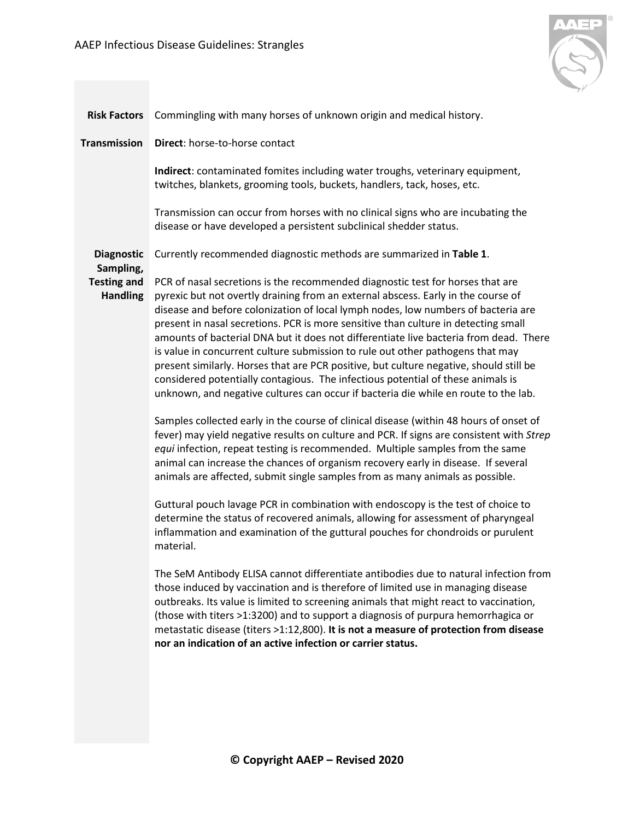

<span id="page-1-2"></span><span id="page-1-1"></span><span id="page-1-0"></span>

| <b>Risk Factors</b>                                                     | Commingling with many horses of unknown origin and medical history.                                                                                                                                                                                                                                                                                                                                                                                                                                                                                                                                                                                                                                                                                                                                                                                                                                                                                                                                                                                                                                                                                                                                                                                                                                                                                                                                                                                                                                   |  |  |  |
|-------------------------------------------------------------------------|-------------------------------------------------------------------------------------------------------------------------------------------------------------------------------------------------------------------------------------------------------------------------------------------------------------------------------------------------------------------------------------------------------------------------------------------------------------------------------------------------------------------------------------------------------------------------------------------------------------------------------------------------------------------------------------------------------------------------------------------------------------------------------------------------------------------------------------------------------------------------------------------------------------------------------------------------------------------------------------------------------------------------------------------------------------------------------------------------------------------------------------------------------------------------------------------------------------------------------------------------------------------------------------------------------------------------------------------------------------------------------------------------------------------------------------------------------------------------------------------------------|--|--|--|
| <b>Transmission</b>                                                     | Direct: horse-to-horse contact                                                                                                                                                                                                                                                                                                                                                                                                                                                                                                                                                                                                                                                                                                                                                                                                                                                                                                                                                                                                                                                                                                                                                                                                                                                                                                                                                                                                                                                                        |  |  |  |
|                                                                         | Indirect: contaminated fomites including water troughs, veterinary equipment,<br>twitches, blankets, grooming tools, buckets, handlers, tack, hoses, etc.                                                                                                                                                                                                                                                                                                                                                                                                                                                                                                                                                                                                                                                                                                                                                                                                                                                                                                                                                                                                                                                                                                                                                                                                                                                                                                                                             |  |  |  |
|                                                                         | Transmission can occur from horses with no clinical signs who are incubating the<br>disease or have developed a persistent subclinical shedder status.                                                                                                                                                                                                                                                                                                                                                                                                                                                                                                                                                                                                                                                                                                                                                                                                                                                                                                                                                                                                                                                                                                                                                                                                                                                                                                                                                |  |  |  |
| <b>Diagnostic</b><br>Sampling,<br><b>Testing and</b><br><b>Handling</b> | Currently recommended diagnostic methods are summarized in Table 1.                                                                                                                                                                                                                                                                                                                                                                                                                                                                                                                                                                                                                                                                                                                                                                                                                                                                                                                                                                                                                                                                                                                                                                                                                                                                                                                                                                                                                                   |  |  |  |
|                                                                         | PCR of nasal secretions is the recommended diagnostic test for horses that are<br>pyrexic but not overtly draining from an external abscess. Early in the course of<br>disease and before colonization of local lymph nodes, low numbers of bacteria are<br>present in nasal secretions. PCR is more sensitive than culture in detecting small<br>amounts of bacterial DNA but it does not differentiate live bacteria from dead. There<br>is value in concurrent culture submission to rule out other pathogens that may<br>present similarly. Horses that are PCR positive, but culture negative, should still be<br>considered potentially contagious. The infectious potential of these animals is<br>unknown, and negative cultures can occur if bacteria die while en route to the lab.<br>Samples collected early in the course of clinical disease (within 48 hours of onset of<br>fever) may yield negative results on culture and PCR. If signs are consistent with Strep<br>equi infection, repeat testing is recommended. Multiple samples from the same<br>animal can increase the chances of organism recovery early in disease. If several<br>animals are affected, submit single samples from as many animals as possible.<br>Guttural pouch lavage PCR in combination with endoscopy is the test of choice to<br>determine the status of recovered animals, allowing for assessment of pharyngeal<br>inflammation and examination of the guttural pouches for chondroids or purulent |  |  |  |
|                                                                         | material.                                                                                                                                                                                                                                                                                                                                                                                                                                                                                                                                                                                                                                                                                                                                                                                                                                                                                                                                                                                                                                                                                                                                                                                                                                                                                                                                                                                                                                                                                             |  |  |  |
|                                                                         | The SeM Antibody ELISA cannot differentiate antibodies due to natural infection from<br>those induced by vaccination and is therefore of limited use in managing disease<br>outbreaks. Its value is limited to screening animals that might react to vaccination,<br>(those with titers >1:3200) and to support a diagnosis of purpura hemorrhagica or<br>metastatic disease (titers >1:12,800). It is not a measure of protection from disease<br>nor an indication of an active infection or carrier status.                                                                                                                                                                                                                                                                                                                                                                                                                                                                                                                                                                                                                                                                                                                                                                                                                                                                                                                                                                                        |  |  |  |
|                                                                         |                                                                                                                                                                                                                                                                                                                                                                                                                                                                                                                                                                                                                                                                                                                                                                                                                                                                                                                                                                                                                                                                                                                                                                                                                                                                                                                                                                                                                                                                                                       |  |  |  |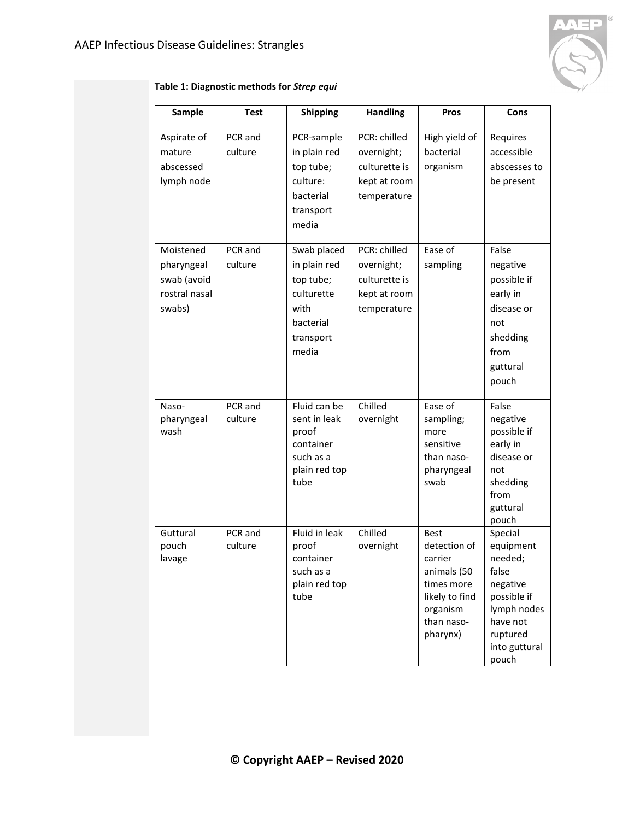

### **Table 1: Diagnostic methods for** *Strep equi*

<span id="page-2-0"></span>

| Sample                                                            | <b>Test</b>        | <b>Shipping</b>                                                                                   | <b>Handling</b>                                                            | Pros                                                                                                                        | Cons                                                                                                                                 |
|-------------------------------------------------------------------|--------------------|---------------------------------------------------------------------------------------------------|----------------------------------------------------------------------------|-----------------------------------------------------------------------------------------------------------------------------|--------------------------------------------------------------------------------------------------------------------------------------|
| Aspirate of<br>mature<br>abscessed<br>lymph node                  | PCR and<br>culture | PCR-sample<br>in plain red<br>top tube;<br>culture:<br>bacterial<br>transport<br>media            | PCR: chilled<br>overnight;<br>culturette is<br>kept at room<br>temperature | High yield of<br>bacterial<br>organism                                                                                      | Requires<br>accessible<br>abscesses to<br>be present                                                                                 |
| Moistened<br>pharyngeal<br>swab (avoid<br>rostral nasal<br>swabs) | PCR and<br>culture | Swab placed<br>in plain red<br>top tube;<br>culturette<br>with<br>bacterial<br>transport<br>media | PCR: chilled<br>overnight;<br>culturette is<br>kept at room<br>temperature | Ease of<br>sampling                                                                                                         | False<br>negative<br>possible if<br>early in<br>disease or<br>not<br>shedding<br>from<br>guttural<br>pouch                           |
| Naso-<br>pharyngeal<br>wash                                       | PCR and<br>culture | Fluid can be<br>sent in leak<br>proof<br>container<br>such as a<br>plain red top<br>tube          | Chilled<br>overnight                                                       | Ease of<br>sampling;<br>more<br>sensitive<br>than naso-<br>pharyngeal<br>swab                                               | False<br>negative<br>possible if<br>early in<br>disease or<br>not<br>shedding<br>from<br>guttural<br>pouch                           |
| Guttural<br>pouch<br>lavage                                       | PCR and<br>culture | Fluid in leak<br>proof<br>container<br>such as a<br>plain red top<br>tube                         | Chilled<br>overnight                                                       | <b>Best</b><br>detection of<br>carrier<br>animals (50<br>times more<br>likely to find<br>organism<br>than naso-<br>pharynx) | Special<br>equipment<br>needed;<br>false<br>negative<br>possible if<br>lymph nodes<br>have not<br>ruptured<br>into guttural<br>pouch |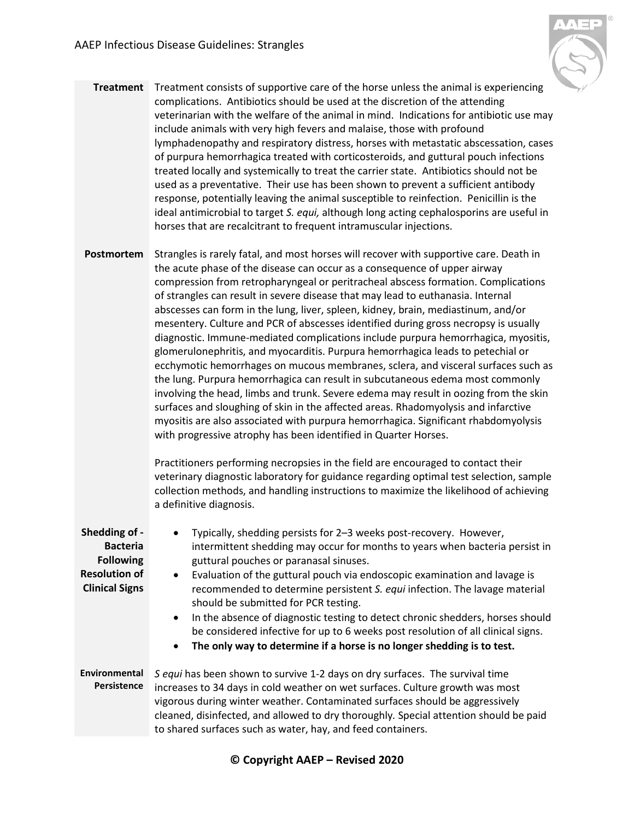

- **Treatment** Treatment consists of supportive care of the horse unless the animal is experiencing complications. Antibiotics should be used at the discretion of the attending veterinarian with the welfare of the animal in mind. Indications for antibiotic use may include animals with very high fevers and malaise, those with profound lymphadenopathy and respiratory distress, horses with metastatic abscessation, cases of purpura hemorrhagica treated with corticosteroids, and guttural pouch infections treated locally and systemically to treat the carrier state. Antibiotics should not be used as a preventative. Their use has been shown to prevent a sufficient antibody response, potentially leaving the animal susceptible to reinfection. Penicillin is the ideal antimicrobial to target *S. equi,* although long acting cephalosporins are useful in horses that are recalcitrant to frequent intramuscular injections.
- <span id="page-3-0"></span>**Postmortem** Strangles is rarely fatal, and most horses will recover with supportive care. Death in the acute phase of the disease can occur as a consequence of upper airway compression from retropharyngeal or peritracheal abscess formation. Complications of strangles can result in severe disease that may lead to euthanasia. Internal abscesses can form in the lung, liver, spleen, kidney, brain, mediastinum, and/or mesentery. Culture and PCR of abscesses identified during gross necropsy is usually diagnostic. Immune-mediated complications include purpura hemorrhagica, myositis, glomerulonephritis, and myocarditis. Purpura hemorrhagica leads to petechial or ecchymotic hemorrhages on mucous membranes, sclera, and visceral surfaces such as the lung. Purpura hemorrhagica can result in subcutaneous edema most commonly involving the head, limbs and trunk. Severe edema may result in oozing from the skin surfaces and sloughing of skin in the affected areas. Rhadomyolysis and infarctive myositis are also associated with purpura hemorrhagica. Significant rhabdomyolysis with progressive atrophy has been identified in Quarter Horses.

Practitioners performing necropsies in the field are encouraged to contact their veterinary diagnostic laboratory for guidance regarding optimal test selection, sample collection methods, and handling instructions to maximize the likelihood of achieving a definitive diagnosis.

<span id="page-3-2"></span><span id="page-3-1"></span>

| Shedding of -<br><b>Bacteria</b><br><b>Following</b><br><b>Resolution of</b><br><b>Clinical Signs</b> | Typically, shedding persists for 2-3 weeks post-recovery. However,<br>intermittent shedding may occur for months to years when bacteria persist in<br>guttural pouches or paranasal sinuses.<br>Evaluation of the guttural pouch via endoscopic examination and lavage is<br>$\bullet$<br>recommended to determine persistent S. equi infection. The lavage material<br>should be submitted for PCR testing.<br>In the absence of diagnostic testing to detect chronic shedders, horses should<br>$\bullet$<br>be considered infective for up to 6 weeks post resolution of all clinical signs.<br>The only way to determine if a horse is no longer shedding is to test.<br>$\bullet$ |  |
|-------------------------------------------------------------------------------------------------------|----------------------------------------------------------------------------------------------------------------------------------------------------------------------------------------------------------------------------------------------------------------------------------------------------------------------------------------------------------------------------------------------------------------------------------------------------------------------------------------------------------------------------------------------------------------------------------------------------------------------------------------------------------------------------------------|--|
| <b>Environmental</b><br>Persistence                                                                   | S equi has been shown to survive 1-2 days on dry surfaces. The survival time<br>increases to 34 days in cold weather on wet surfaces. Culture growth was most<br>vigorous during winter weather. Contaminated surfaces should be aggressively<br>cleaned, disinfected, and allowed to dry thoroughly. Special attention should be paid<br>to shared surfaces such as water, hay, and feed containers.                                                                                                                                                                                                                                                                                  |  |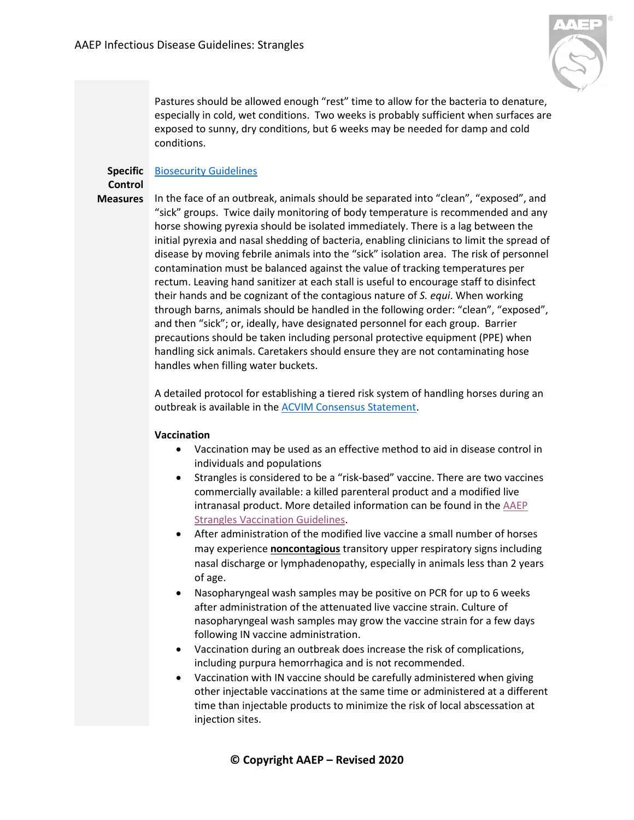

Pastures should be allowed enough "rest" time to allow for the bacteria to denature, especially in cold, wet conditions. Two weeks is probably sufficient when surfaces are exposed to sunny, dry conditions, but 6 weeks may be needed for damp and cold conditions.

# **Specific**  [Biosecurity Guidelines](https://aaep.org/sites/default/files/Documents/BiosecurityGuidelines_Sept2018.pdf)

#### <span id="page-4-0"></span>**Control Measures**

In the face of an outbreak, animals should be separated into "clean", "exposed", and "sick" groups. Twice daily monitoring of body temperature is recommended and any horse showing pyrexia should be isolated immediately. There is a lag between the initial pyrexia and nasal shedding of bacteria, enabling clinicians to limit the spread of disease by moving febrile animals into the "sick" isolation area. The risk of personnel contamination must be balanced against the value of tracking temperatures per rectum. Leaving hand sanitizer at each stall is useful to encourage staff to disinfect their hands and be cognizant of the contagious nature of *S. equi*. When working through barns, animals should be handled in the following order: "clean", "exposed", and then "sick"; or, ideally, have designated personnel for each group. Barrier precautions should be taken including personal protective equipment (PPE) when handling sick animals. Caretakers should ensure they are not contaminating hose handles when filling water buckets.

A detailed protocol for establishing a tiered risk system of handling horses during an outbreak is available in the [ACVIM Consensus Statement.](https://onlinelibrary.wiley.com/doi/pdf/10.1111/jvim.15043)

## **Vaccination**

- Vaccination may be used as an effective method to aid in disease control in individuals and populations
- Strangles is considered to be a "risk-based" vaccine. There are two vaccines commercially available: a killed parenteral product and a modified live intranasal product. More detailed information can be found in the [AAEP](https://aaep.org/guidelines/vaccination-guidelines/risk-based-vaccination-guidelines/strangles)  Strangles [Vaccination Guidelines.](https://aaep.org/guidelines/vaccination-guidelines/risk-based-vaccination-guidelines/strangles)
- After administration of the modified live vaccine a small number of horses may experience **noncontagious** transitory upper respiratory signs including nasal discharge or lymphadenopathy, especially in animals less than 2 years of age.
- Nasopharyngeal wash samples may be positive on PCR for up to 6 weeks after administration of the attenuated live vaccine strain. Culture of nasopharyngeal wash samples may grow the vaccine strain for a few days following IN vaccine administration.
- Vaccination during an outbreak does increase the risk of complications, including purpura hemorrhagica and is not recommended.
- Vaccination with IN vaccine should be carefully administered when giving other injectable vaccinations at the same time or administered at a different time than injectable products to minimize the risk of local abscessation at injection sites.